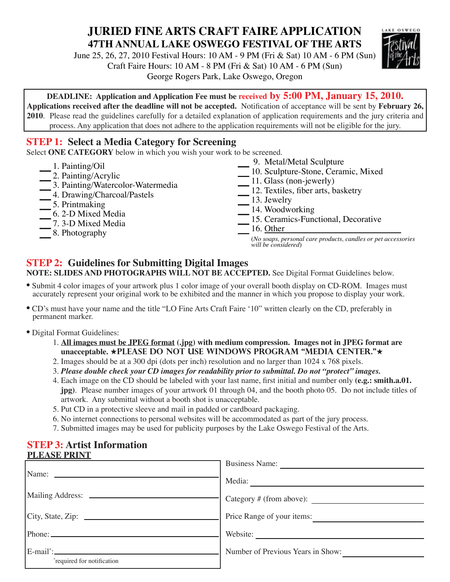# **JURIED FINE ARTS CRAFT FAIRE APPLICATION 47TH ANNUAL LAKE OSWEGO FESTIVAL OF THE ARTS**

June 25, 26, 27, 2010 Festival Hours: 10 AM - 9 PM (Fri & Sat) 10 AM - 6 PM (Sun) Craft Faire Hours: 10 AM - 8 PM (Fri & Sat) 10 AM - 6 PM (Sun) George Rogers Park, Lake Oswego, Oregon



**DEADLINE: Application and Application Fee must be received by 5:00 PM, January 15, 2010.**

**Applications received after the deadline will not be accepted.** Notification of acceptance will be sent by **February 26, 2010**. Please read the guidelines carefully for a detailed explanation of application requirements and the jury criteria and process. Any application that does not adhere to the application requirements will not be eligible for the jury.

# **STEP 1: Select a Media Category for Screening**

Select **ONE CATEGORY** below in which you wish your work to be screened.

- \_1. Painting/Oil
- \_2. Painting/Acrylic
- <sup>2</sup> 2. Painting/Acrylic<br>3. Painting/Watercolor-Watermedia
- 3. Painting/Watercolor-Water<br>4. Drawing/Charcoal/Pastels 4. Drawing/Charcoal/Pastels<br>5. Printmaking
- 
- $\frac{1}{\sqrt{5}}$  5. Printmaking<br> $\frac{6}{\sqrt{5}}$  2-D Mixed Media
- $\frac{1}{\sqrt{7}}$  6. 2-D Mixed Media<br> $\frac{7}{\sqrt{9}}$  3-D Mixed Media - 7. 3-D Mixed Media<br>8. Photography
- 
- 9. Metal/Metal Sculpture
- 9. Metal/Metal Sculpture<br>10. Sculpture-Stone, Ceramic, Mixed
- $\frac{1}{\sqrt{11}}$  10. Sculpture-Stone, Ce 11. Glass (non-jewerly)
- 11. Glass (non-jewerly)<br>12. Textiles, fiber arts, basketry
- \_13. Jewelry
- \_14. Woodworking
- <sup>14</sup> 14. Woodworking<br>15. Ceramics-Functional, Decorative
- $\frac{15.$  Ceram<br>16. Other

(*No soaps, personal care products, candles or pet accessories will be considered*)

# **STEP 2: Guidelines for Submitting Digital Images**

**NOTE: SLIDES AND PHOTOGRAPHS WILL NOT BE ACCEPTED.** See Digital Format Guidelines below.

- Submit 4 color images of your artwork plus 1 color image of your overall booth display on CD-ROM. Images must accurately represent your original work to be exhibited and the manner in which you propose to display your work.
- CD's must have your name and the title "LO Fine Arts Craft Faire '10" written clearly on the CD, preferably in permanent marker.
- Digital Format Guidelines:
	- 1. **All images must be JPEG format (.jpg) with medium compression. Images not in JPEG format are unacceptable. ★PLEASE DO NOT USE WINDOWS PROGRAM "MEDIA CENTER."★**
	- 2. Images should be at a 300 dpi (dots per inch) resolution and no larger than 1024 x 768 pixels.
	- 3. *Please double check your CD images for readability prior to submittal. Do not "protect" images.*
	- 4. Each image on the CD should be labeled with your last name, first initial and number only **(e.g.: smith.a.01. jpg)**. Please number images of your artwork 01 through 04, and the booth photo 05. Do not include titles of artwork. Any submittal without a booth shot is unacceptable.
	- 5. Put CD in a protective sleeve and mail in padded or cardboard packaging.
	- 6. No internet connections to personal websites will be accommodated as part of the jury process.
	- 7. Submitted images may be used for publicity purposes by the Lake Oswego Festival of the Arts.

# **STEP 3: Artist Information**

| <b>PLEASE PRINT</b>              |                                   |  |
|----------------------------------|-----------------------------------|--|
|                                  | <b>Business Name:</b>             |  |
|                                  |                                   |  |
|                                  | Media:                            |  |
|                                  |                                   |  |
|                                  | Price Range of your items:        |  |
|                                  | Website:                          |  |
|                                  | Number of Previous Years in Show: |  |
| <i>required for notification</i> |                                   |  |